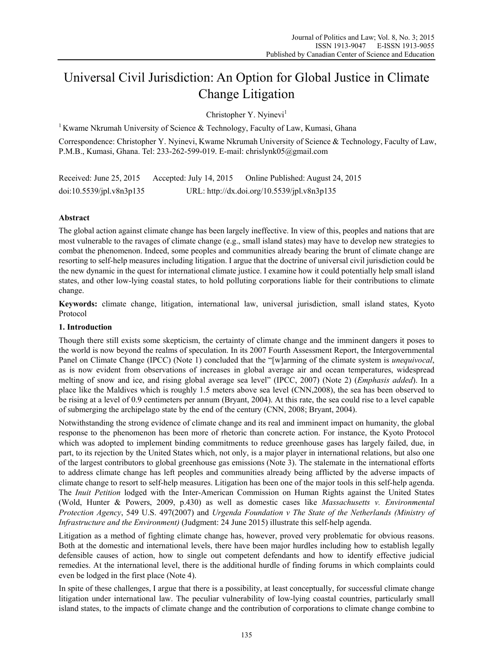# Universal Civil Jurisdiction: An Option for Global Justice in Climate Change Litigation

Christopher Y. Nyinevi<sup>1</sup>

<sup>1</sup> Kwame Nkrumah University of Science & Technology, Faculty of Law, Kumasi, Ghana

Correspondence: Christopher Y. Nyinevi, Kwame Nkrumah University of Science & Technology, Faculty of Law, P.M.B., Kumasi, Ghana. Tel: 233-262-599-019. E-mail: chrislynk05@gmail.com

Received: June 25, 2015 Accepted: July 14, 2015 Online Published: August 24, 2015 doi:10.5539/jpl.v8n3p135 URL: http://dx.doi.org/10.5539/jpl.v8n3p135

# **Abstract**

The global action against climate change has been largely ineffective. In view of this, peoples and nations that are most vulnerable to the ravages of climate change (e.g., small island states) may have to develop new strategies to combat the phenomenon. Indeed, some peoples and communities already bearing the brunt of climate change are resorting to self-help measures including litigation. I argue that the doctrine of universal civil jurisdiction could be the new dynamic in the quest for international climate justice. I examine how it could potentially help small island states, and other low-lying coastal states, to hold polluting corporations liable for their contributions to climate change.

**Keywords:** climate change, litigation, international law, universal jurisdiction, small island states, Kyoto Protocol

# **1. Introduction**

Though there still exists some skepticism, the certainty of climate change and the imminent dangers it poses to the world is now beyond the realms of speculation. In its 2007 Fourth Assessment Report, the Intergovernmental Panel on Climate Change (IPCC) (Note 1) concluded that the "[w]arming of the climate system is *unequivocal*, as is now evident from observations of increases in global average air and ocean temperatures, widespread melting of snow and ice, and rising global average sea level" (IPCC, 2007) (Note 2) (*Emphasis added*). In a place like the Maldives which is roughly 1.5 meters above sea level (CNN,2008), the sea has been observed to be rising at a level of 0.9 centimeters per annum (Bryant, 2004). At this rate, the sea could rise to a level capable of submerging the archipelago state by the end of the century (CNN, 2008; Bryant, 2004).

Notwithstanding the strong evidence of climate change and its real and imminent impact on humanity, the global response to the phenomenon has been more of rhetoric than concrete action. For instance, the Kyoto Protocol which was adopted to implement binding commitments to reduce greenhouse gases has largely failed, due, in part, to its rejection by the United States which, not only, is a major player in international relations, but also one of the largest contributors to global greenhouse gas emissions (Note 3). The stalemate in the international efforts to address climate change has left peoples and communities already being afflicted by the adverse impacts of climate change to resort to self-help measures. Litigation has been one of the major tools in this self-help agenda. The *Inuit Petition* lodged with the Inter-American Commission on Human Rights against the United States (Wold, Hunter & Powers, 2009, p.430) as well as domestic cases like *Massachusetts v. Environmental Protection Agency*, 549 U.S. 497(2007) and *Urgenda Foundation v The State of the Netherlands (Ministry of Infrastructure and the Environment)* (Judgment: 24 June 2015) illustrate this self-help agenda.

Litigation as a method of fighting climate change has, however, proved very problematic for obvious reasons. Both at the domestic and international levels, there have been major hurdles including how to establish legally defensible causes of action, how to single out competent defendants and how to identify effective judicial remedies. At the international level, there is the additional hurdle of finding forums in which complaints could even be lodged in the first place (Note 4).

In spite of these challenges, I argue that there is a possibility, at least conceptually, for successful climate change litigation under international law. The peculiar vulnerability of low-lying coastal countries, particularly small island states, to the impacts of climate change and the contribution of corporations to climate change combine to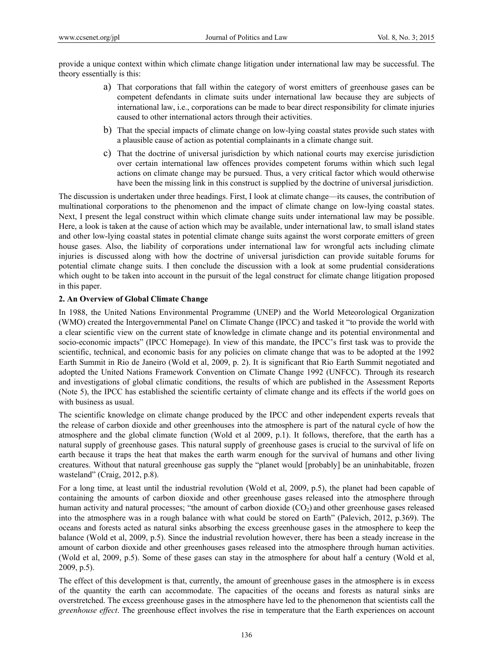provide a unique context within which climate change litigation under international law may be successful. The theory essentially is this:

- a) That corporations that fall within the category of worst emitters of greenhouse gases can be competent defendants in climate suits under international law because they are subjects of international law, i.e., corporations can be made to bear direct responsibility for climate injuries caused to other international actors through their activities.
- b) That the special impacts of climate change on low-lying coastal states provide such states with a plausible cause of action as potential complainants in a climate change suit.
- c) That the doctrine of universal jurisdiction by which national courts may exercise jurisdiction over certain international law offences provides competent forums within which such legal actions on climate change may be pursued. Thus, a very critical factor which would otherwise have been the missing link in this construct is supplied by the doctrine of universal jurisdiction.

The discussion is undertaken under three headings. First, I look at climate change—its causes, the contribution of multinational corporations to the phenomenon and the impact of climate change on low-lying coastal states. Next, I present the legal construct within which climate change suits under international law may be possible. Here, a look is taken at the cause of action which may be available, under international law, to small island states and other low-lying coastal states in potential climate change suits against the worst corporate emitters of green house gases. Also, the liability of corporations under international law for wrongful acts including climate injuries is discussed along with how the doctrine of universal jurisdiction can provide suitable forums for potential climate change suits. I then conclude the discussion with a look at some prudential considerations which ought to be taken into account in the pursuit of the legal construct for climate change litigation proposed in this paper.

# **2. An Overview of Global Climate Change**

In 1988, the United Nations Environmental Programme (UNEP) and the World Meteorological Organization (WMO) created the Intergovernmental Panel on Climate Change (IPCC) and tasked it "to provide the world with a clear scientific view on the current state of knowledge in climate change and its potential environmental and socio-economic impacts" (IPCC Homepage). In view of this mandate, the IPCC's first task was to provide the scientific, technical, and economic basis for any policies on climate change that was to be adopted at the 1992 Earth Summit in Rio de Janeiro (Wold et al, 2009, p. 2). It is significant that Rio Earth Summit negotiated and adopted the United Nations Framework Convention on Climate Change 1992 (UNFCC). Through its research and investigations of global climatic conditions, the results of which are published in the Assessment Reports (Note 5), the IPCC has established the scientific certainty of climate change and its effects if the world goes on with business as usual.

The scientific knowledge on climate change produced by the IPCC and other independent experts reveals that the release of carbon dioxide and other greenhouses into the atmosphere is part of the natural cycle of how the atmosphere and the global climate function (Wold et al 2009, p.1). It follows, therefore, that the earth has a natural supply of greenhouse gases. This natural supply of greenhouse gases is crucial to the survival of life on earth because it traps the heat that makes the earth warm enough for the survival of humans and other living creatures. Without that natural greenhouse gas supply the "planet would [probably] be an uninhabitable, frozen wasteland" (Craig, 2012, p.8).

For a long time, at least until the industrial revolution (Wold et al, 2009, p.5), the planet had been capable of containing the amounts of carbon dioxide and other greenhouse gases released into the atmosphere through human activity and natural processes; "the amount of carbon dioxide (CO<sub>2</sub>) and other greenhouse gases released into the atmosphere was in a rough balance with what could be stored on Earth" (Palevich, 2012, p.369). The oceans and forests acted as natural sinks absorbing the excess greenhouse gases in the atmosphere to keep the balance (Wold et al, 2009, p.5). Since the industrial revolution however, there has been a steady increase in the amount of carbon dioxide and other greenhouses gases released into the atmosphere through human activities. (Wold et al, 2009, p.5). Some of these gases can stay in the atmosphere for about half a century (Wold et al, 2009, p.5).

The effect of this development is that, currently, the amount of greenhouse gases in the atmosphere is in excess of the quantity the earth can accommodate. The capacities of the oceans and forests as natural sinks are overstretched. The excess greenhouse gases in the atmosphere have led to the phenomenon that scientists call the *greenhouse effect*. The greenhouse effect involves the rise in temperature that the Earth experiences on account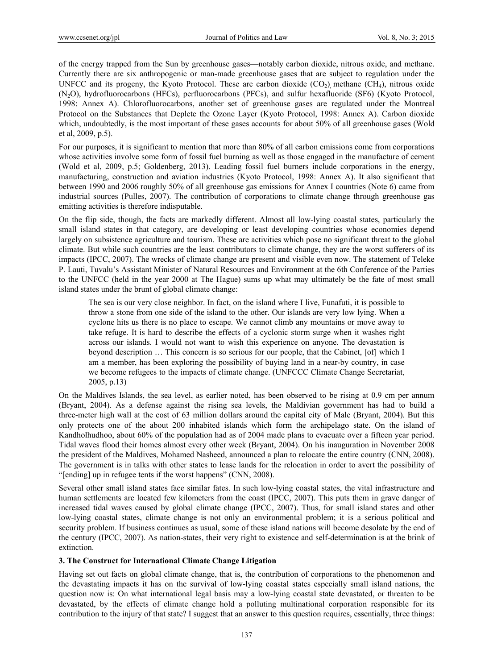of the energy trapped from the Sun by greenhouse gases—notably carbon dioxide, nitrous oxide, and methane. Currently there are six anthropogenic or man-made greenhouse gases that are subject to regulation under the UNFCC and its progeny, the Kyoto Protocol. These are carbon dioxide  $(CO<sub>2</sub>)$  methane  $(CH<sub>4</sub>)$ , nitrous oxide (N2O), hydrofluorocarbons (HFCs), perfluorocarbons (PFCs), and sulfur hexafluoride (SF6) (Kyoto Protocol, 1998: Annex A). Chlorofluorocarbons, another set of greenhouse gases are regulated under the Montreal Protocol on the Substances that Deplete the Ozone Layer (Kyoto Protocol, 1998: Annex A). Carbon dioxide which, undoubtedly, is the most important of these gases accounts for about 50% of all greenhouse gases (Wold et al, 2009, p.5).

For our purposes, it is significant to mention that more than 80% of all carbon emissions come from corporations whose activities involve some form of fossil fuel burning as well as those engaged in the manufacture of cement (Wold et al, 2009, p.5; Goldenberg, 2013). Leading fossil fuel burners include corporations in the energy, manufacturing, construction and aviation industries (Kyoto Protocol, 1998: Annex A). It also significant that between 1990 and 2006 roughly 50% of all greenhouse gas emissions for Annex I countries (Note 6) came from industrial sources (Pulles, 2007). The contribution of corporations to climate change through greenhouse gas emitting activities is therefore indisputable.

On the flip side, though, the facts are markedly different. Almost all low-lying coastal states, particularly the small island states in that category, are developing or least developing countries whose economies depend largely on subsistence agriculture and tourism. These are activities which pose no significant threat to the global climate. But while such countries are the least contributors to climate change, they are the worst sufferers of its impacts (IPCC, 2007). The wrecks of climate change are present and visible even now. The statement of Teleke P. Lauti, Tuvalu's Assistant Minister of Natural Resources and Environment at the 6th Conference of the Parties to the UNFCC (held in the year 2000 at The Hague) sums up what may ultimately be the fate of most small island states under the brunt of global climate change:

The sea is our very close neighbor. In fact, on the island where I live, Funafuti, it is possible to throw a stone from one side of the island to the other. Our islands are very low lying. When a cyclone hits us there is no place to escape. We cannot climb any mountains or move away to take refuge. It is hard to describe the effects of a cyclonic storm surge when it washes right across our islands. I would not want to wish this experience on anyone. The devastation is beyond description … This concern is so serious for our people, that the Cabinet, [of] which I am a member, has been exploring the possibility of buying land in a near-by country, in case we become refugees to the impacts of climate change. (UNFCCC Climate Change Secretariat, 2005, p.13)

On the Maldives Islands, the sea level, as earlier noted, has been observed to be rising at 0.9 cm per annum (Bryant, 2004). As a defense against the rising sea levels, the Maldivian government has had to build a three-meter high wall at the cost of 63 million dollars around the capital city of Male (Bryant, 2004). But this only protects one of the about 200 inhabited islands which form the archipelago state. On the island of Kandholhudhoo, about 60% of the population had as of 2004 made plans to evacuate over a fifteen year period. Tidal waves flood their homes almost every other week (Bryant, 2004). On his inauguration in November 2008 the president of the Maldives, Mohamed Nasheed, announced a plan to relocate the entire country (CNN, 2008). The government is in talks with other states to lease lands for the relocation in order to avert the possibility of "[ending] up in refugee tents if the worst happens" (CNN, 2008).

Several other small island states face similar fates. In such low-lying coastal states, the vital infrastructure and human settlements are located few kilometers from the coast (IPCC, 2007). This puts them in grave danger of increased tidal waves caused by global climate change (IPCC, 2007). Thus, for small island states and other low-lying coastal states, climate change is not only an environmental problem; it is a serious political and security problem. If business continues as usual, some of these island nations will become desolate by the end of the century (IPCC, 2007). As nation-states, their very right to existence and self-determination is at the brink of extinction.

# **3. The Construct for International Climate Change Litigation**

Having set out facts on global climate change, that is, the contribution of corporations to the phenomenon and the devastating impacts it has on the survival of low-lying coastal states especially small island nations, the question now is: On what international legal basis may a low-lying coastal state devastated, or threaten to be devastated, by the effects of climate change hold a polluting multinational corporation responsible for its contribution to the injury of that state? I suggest that an answer to this question requires, essentially, three things: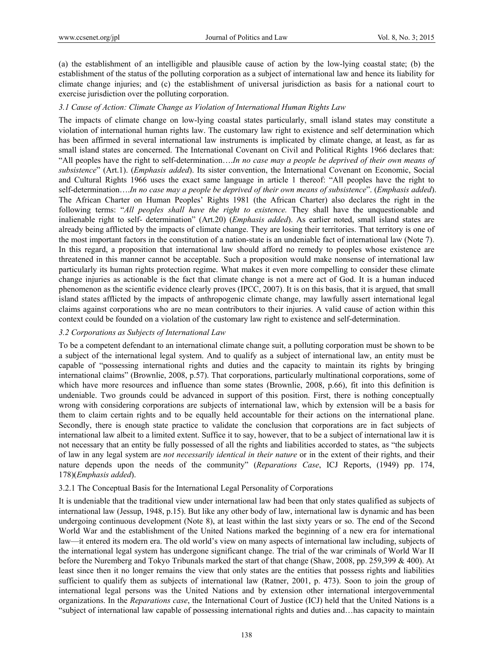(a) the establishment of an intelligible and plausible cause of action by the low-lying coastal state; (b) the establishment of the status of the polluting corporation as a subject of international law and hence its liability for climate change injuries; and (c) the establishment of universal jurisdiction as basis for a national court to exercise jurisdiction over the polluting corporation.

#### *3.1 Cause of Action: Climate Change as Violation of International Human Rights Law*

The impacts of climate change on low-lying coastal states particularly, small island states may constitute a violation of international human rights law. The customary law right to existence and self determination which has been affirmed in several international law instruments is implicated by climate change, at least, as far as small island states are concerned. The International Covenant on Civil and Political Rights 1966 declares that: "All peoples have the right to self-determination….*In no case may a people be deprived of their own means of subsistence*" (Art.1). (*Emphasis added*). Its sister convention, the International Covenant on Economic, Social and Cultural Rights 1966 uses the exact same language in article 1 thereof: "All peoples have the right to self-determination….*In no case may a people be deprived of their own means of subsistence*". (*Emphasis added*). The African Charter on Human Peoples' Rights 1981 (the African Charter) also declares the right in the following terms: "*All peoples shall have the right to existence.* They shall have the unquestionable and inalienable right to self- determination" (Art.20) (*Emphasis added*). As earlier noted, small island states are already being afflicted by the impacts of climate change. They are losing their territories. That territory is one of the most important factors in the constitution of a nation-state is an undeniable fact of international law (Note 7). In this regard, a proposition that international law should afford no remedy to peoples whose existence are threatened in this manner cannot be acceptable. Such a proposition would make nonsense of international law particularly its human rights protection regime. What makes it even more compelling to consider these climate change injuries as actionable is the fact that climate change is not a mere act of God. It is a human induced phenomenon as the scientific evidence clearly proves (IPCC, 2007). It is on this basis, that it is argued, that small island states afflicted by the impacts of anthropogenic climate change, may lawfully assert international legal claims against corporations who are no mean contributors to their injuries. A valid cause of action within this context could be founded on a violation of the customary law right to existence and self-determination.

#### *3.2 Corporations as Subjects of International Law*

To be a competent defendant to an international climate change suit, a polluting corporation must be shown to be a subject of the international legal system. And to qualify as a subject of international law, an entity must be capable of "possessing international rights and duties and the capacity to maintain its rights by bringing international claims" (Brownlie, 2008, p.57). That corporations, particularly multinational corporations, some of which have more resources and influence than some states (Brownlie, 2008, p.66), fit into this definition is undeniable. Two grounds could be advanced in support of this position. First, there is nothing conceptually wrong with considering corporations are subjects of international law, which by extension will be a basis for them to claim certain rights and to be equally held accountable for their actions on the international plane. Secondly, there is enough state practice to validate the conclusion that corporations are in fact subjects of international law albeit to a limited extent. Suffice it to say, however, that to be a subject of international law it is not necessary that an entity be fully possessed of all the rights and liabilities accorded to states, as "the subjects of law in any legal system are *not necessarily identical in their nature* or in the extent of their rights, and their nature depends upon the needs of the community" (*Reparations Case*, ICJ Reports, (1949) pp. 174, 178)(*Emphasis added*).

#### 3.2.1 The Conceptual Basis for the International Legal Personality of Corporations

It is undeniable that the traditional view under international law had been that only states qualified as subjects of international law (Jessup, 1948, p.15). But like any other body of law, international law is dynamic and has been undergoing continuous development (Note 8), at least within the last sixty years or so. The end of the Second World War and the establishment of the United Nations marked the beginning of a new era for international law—it entered its modern era. The old world's view on many aspects of international law including, subjects of the international legal system has undergone significant change. The trial of the war criminals of World War II before the Nuremberg and Tokyo Tribunals marked the start of that change (Shaw, 2008, pp. 259,399 & 400). At least since then it no longer remains the view that only states are the entities that possess rights and liabilities sufficient to qualify them as subjects of international law (Ratner, 2001, p. 473). Soon to join the group of international legal persons was the United Nations and by extension other international intergovernmental organizations. In the *Reparations case*, the International Court of Justice (ICJ) held that the United Nations is a "subject of international law capable of possessing international rights and duties and…has capacity to maintain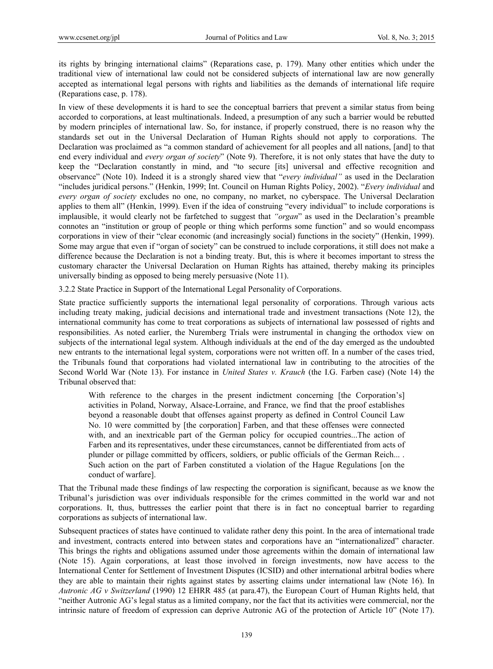its rights by bringing international claims" (Reparations case, p. 179). Many other entities which under the traditional view of international law could not be considered subjects of international law are now generally accepted as international legal persons with rights and liabilities as the demands of international life require (Reparations case, p. 178).

In view of these developments it is hard to see the conceptual barriers that prevent a similar status from being accorded to corporations, at least multinationals. Indeed, a presumption of any such a barrier would be rebutted by modern principles of international law. So, for instance, if properly construed, there is no reason why the standards set out in the Universal Declaration of Human Rights should not apply to corporations. The Declaration was proclaimed as "a common standard of achievement for all peoples and all nations, [and] to that end every individual and *every organ of society*" (Note 9). Therefore, it is not only states that have the duty to keep the "Declaration constantly in mind, and "to secure [its] universal and effective recognition and observance" (Note 10). Indeed it is a strongly shared view that "*every individual"* as used in the Declaration "includes juridical persons." (Henkin, 1999; Int. Council on Human Rights Policy, 2002). "*Every individual* and *every organ of society* excludes no one, no company, no market, no cyberspace. The Universal Declaration applies to them all" (Henkin, 1999). Even if the idea of construing "every individual" to include corporations is implausible, it would clearly not be farfetched to suggest that *"organ*" as used in the Declaration's preamble connotes an "institution or group of people or thing which performs some function" and so would encompass corporations in view of their "clear economic (and increasingly social) functions in the society" (Henkin, 1999). Some may argue that even if "organ of society" can be construed to include corporations, it still does not make a difference because the Declaration is not a binding treaty. But, this is where it becomes important to stress the customary character the Universal Declaration on Human Rights has attained, thereby making its principles universally binding as opposed to being merely persuasive (Note 11).

3.2.2 State Practice in Support of the International Legal Personality of Corporations.

State practice sufficiently supports the international legal personality of corporations. Through various acts including treaty making, judicial decisions and international trade and investment transactions (Note 12), the international community has come to treat corporations as subjects of international law possessed of rights and responsibilities. As noted earlier, the Nuremberg Trials were instrumental in changing the orthodox view on subjects of the international legal system. Although individuals at the end of the day emerged as the undoubted new entrants to the international legal system, corporations were not written off. In a number of the cases tried, the Tribunals found that corporations had violated international law in contributing to the atrocities of the Second World War (Note 13). For instance in *United States v. Krauch* (the I.G. Farben case) (Note 14) the Tribunal observed that:

With reference to the charges in the present indictment concerning [the Corporation's] activities in Poland, Norway, Alsace-Lorraine, and France, we find that the proof establishes beyond a reasonable doubt that offenses against property as defined in Control Council Law No. 10 were committed by [the corporation] Farben, and that these offenses were connected with, and an inextricable part of the German policy for occupied countries...The action of Farben and its representatives, under these circumstances, cannot be differentiated from acts of plunder or pillage committed by officers, soldiers, or public officials of the German Reich... . Such action on the part of Farben constituted a violation of the Hague Regulations [on the conduct of warfare].

That the Tribunal made these findings of law respecting the corporation is significant, because as we know the Tribunal's jurisdiction was over individuals responsible for the crimes committed in the world war and not corporations. It, thus, buttresses the earlier point that there is in fact no conceptual barrier to regarding corporations as subjects of international law.

Subsequent practices of states have continued to validate rather deny this point. In the area of international trade and investment, contracts entered into between states and corporations have an "internationalized" character. This brings the rights and obligations assumed under those agreements within the domain of international law (Note 15). Again corporations, at least those involved in foreign investments, now have access to the International Center for Settlement of Investment Disputes (ICSID) and other international arbitral bodies where they are able to maintain their rights against states by asserting claims under international law (Note 16). In *Autronic AG v Switzerland* (1990) 12 EHRR 485 (at para.47), the European Court of Human Rights held, that "neither Autronic AG's legal status as a limited company, nor the fact that its activities were commercial, nor the intrinsic nature of freedom of expression can deprive Autronic AG of the protection of Article 10" (Note 17).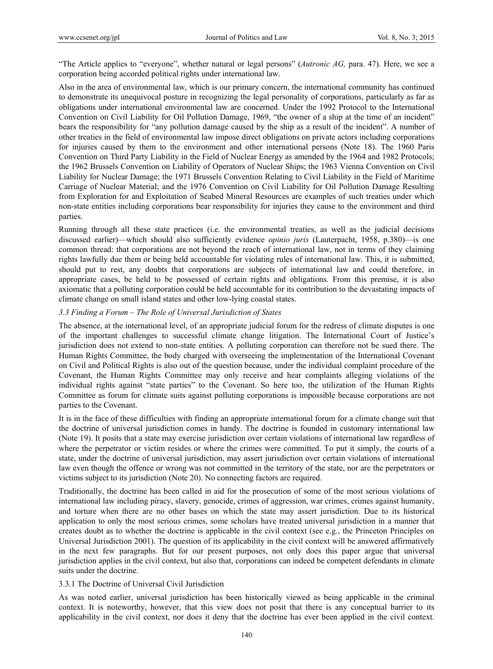"The Article applies to "everyone", whether natural or legal persons" (*Autronic AG,* para. 47). Here, we see a corporation being accorded political rights under international law.

Also in the area of environmental law, which is our primary concern, the international community has continued to demonstrate its unequivocal posture in recognizing the legal personality of corporations, particularly as far as obligations under international environmental law are concerned. Under the 1992 Protocol to the International Convention on Civil Liability for Oil Pollution Damage, 1969, "the owner of a ship at the time of an incident" bears the responsibility for "any pollution damage caused by the ship as a result of the incident". A number of other treaties in the field of environmental law impose direct obligations on private actors including corporations for injuries caused by them to the environment and other international persons (Note 18). The 1960 Paris Convention on Third Party Liability in the Field of Nuclear Energy as amended by the 1964 and 1982 Protocols; the 1962 Brussels Convention on Liability of Operators of Nuclear Ships; the 1963 Vienna Convention on Civil Liability for Nuclear Damage; the 1971 Brussels Convention Relating to Civil Liability in the Field of Maritime Carriage of Nuclear Material; and the 1976 Convention on Civil Liability for Oil Pollution Damage Resulting from Exploration for and Exploitation of Seabed Mineral Resources are examples of such treaties under which non-state entities including corporations bear responsibility for injuries they cause to the environment and third parties.

Running through all these state practices (i.e. the environmental treaties, as well as the judicial decisions discussed earlier)—which should also sufficiently evidence *opinio juris* (Lauterpacht, 1958, p.380)—is one common thread: that corporations are not beyond the reach of international law, not in terms of they claiming rights lawfully due them or being held accountable for violating rules of international law. This, it is submitted, should put to rest, any doubts that corporations are subjects of international law and could therefore, in appropriate cases, be held to be possessed of certain rights and obligations. From this premise, it is also axiomatic that a polluting corporation could be held accountable for its contribution to the devastating impacts of climate change on small island states and other low-lying coastal states.

# *3.3 Finding a Forum – The Role of Universal Jurisdiction of States*

The absence, at the international level, of an appropriate judicial forum for the redress of climate disputes is one of the important challenges to successful climate change litigation. The International Court of Justice's jurisdiction does not extend to non-state entities. A polluting corporation can therefore not be sued there. The Human Rights Committee, the body charged with overseeing the implementation of the International Covenant on Civil and Political Rights is also out of the question because, under the individual complaint procedure of the Covenant, the Human Rights Committee may only receive and hear complaints alleging violations of the individual rights against "state parties" to the Covenant. So here too, the utilization of the Human Rights Committee as forum for climate suits against polluting corporations is impossible because corporations are not parties to the Covenant.

It is in the face of these difficulties with finding an appropriate international forum for a climate change suit that the doctrine of universal jurisdiction comes in handy. The doctrine is founded in customary international law (Note 19). It posits that a state may exercise jurisdiction over certain violations of international law regardless of where the perpetrator or victim resides or where the crimes were committed. To put it simply, the courts of a state, under the doctrine of universal jurisdiction, may assert jurisdiction over certain violations of international law even though the offence or wrong was not committed in the territory of the state, nor are the perpetrators or victims subject to its jurisdiction (Note 20). No connecting factors are required.

Traditionally, the doctrine has been called in aid for the prosecution of some of the most serious violations of international law including piracy, slavery, genocide, crimes of aggression, war crimes, crimes against humanity, and torture when there are no other bases on which the state may assert jurisdiction. Due to its historical application to only the most serious crimes, some scholars have treated universal jurisdiction in a manner that creates doubt as to whether the doctrine is applicable in the civil context (see e.g., the Princeton Principles on Universal Jurisdiction 2001). The question of its applicability in the civil context will be answered affirmatively in the next few paragraphs. But for our present purposes, not only does this paper argue that universal jurisdiction applies in the civil context, but also that, corporations can indeed be competent defendants in climate suits under the doctrine.

#### 3.3.1 The Doctrine of Universal Civil Jurisdiction

As was noted earlier, universal jurisdiction has been historically viewed as being applicable in the criminal context. It is noteworthy, however, that this view does not posit that there is any conceptual barrier to its applicability in the civil context, nor does it deny that the doctrine has ever been applied in the civil context.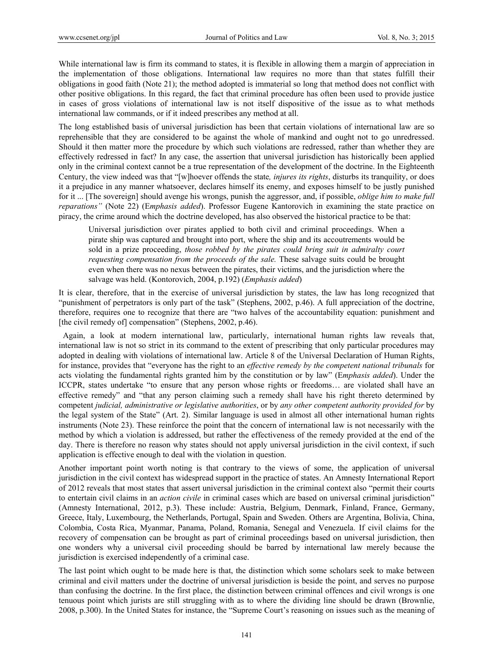While international law is firm its command to states, it is flexible in allowing them a margin of appreciation in the implementation of those obligations. International law requires no more than that states fulfill their obligations in good faith (Note 21); the method adopted is immaterial so long that method does not conflict with other positive obligations. In this regard, the fact that criminal procedure has often been used to provide justice in cases of gross violations of international law is not itself dispositive of the issue as to what methods international law commands, or if it indeed prescribes any method at all.

The long established basis of universal jurisdiction has been that certain violations of international law are so reprehensible that they are considered to be against the whole of mankind and ought not to go unredressed. Should it then matter more the procedure by which such violations are redressed, rather than whether they are effectively redressed in fact? In any case, the assertion that universal jurisdiction has historically been applied only in the criminal context cannot be a true representation of the development of the doctrine. In the Eighteenth Century, the view indeed was that "[w]hoever offends the state*, injures its rights*, disturbs its tranquility, or does it a prejudice in any manner whatsoever, declares himself its enemy, and exposes himself to be justly punished for it ... [The sovereign] should avenge his wrongs, punish the aggressor, and, if possible, *oblige him to make full reparations"* (Note 22) (E*mphasis added*). Professor Eugene Kantorovich in examining the state practice on piracy, the crime around which the doctrine developed, has also observed the historical practice to be that:

Universal jurisdiction over pirates applied to both civil and criminal proceedings. When a pirate ship was captured and brought into port, where the ship and its accoutrements would be sold in a prize proceeding, *those robbed by the pirates could bring suit in admiralty court requesting compensation from the proceeds of the sale.* These salvage suits could be brought even when there was no nexus between the pirates, their victims, and the jurisdiction where the salvage was held. (Kontorovich, 2004, p.192) (*Emphasis added*)

It is clear, therefore, that in the exercise of universal jurisdiction by states, the law has long recognized that "punishment of perpetrators is only part of the task" (Stephens, 2002, p.46). A full appreciation of the doctrine, therefore, requires one to recognize that there are "two halves of the accountability equation: punishment and [the civil remedy of] compensation" (Stephens, 2002, p.46).

 Again, a look at modern international law, particularly, international human rights law reveals that, international law is not so strict in its command to the extent of prescribing that only particular procedures may adopted in dealing with violations of international law. Article 8 of the Universal Declaration of Human Rights, for instance, provides that "everyone has the right to an *effective remedy by the competent national tribunals* for acts violating the fundamental rights granted him by the constitution or by law" (E*mphasis added*). Under the ICCPR, states undertake "to ensure that any person whose rights or freedoms… are violated shall have an effective remedy" and "that any person claiming such a remedy shall have his right thereto determined by competent *judicial, administrative or legislative authorities*, or by *any other competent authority provided for* by the legal system of the State" (Art. 2). Similar language is used in almost all other international human rights instruments (Note 23). These reinforce the point that the concern of international law is not necessarily with the method by which a violation is addressed, but rather the effectiveness of the remedy provided at the end of the day. There is therefore no reason why states should not apply universal jurisdiction in the civil context, if such application is effective enough to deal with the violation in question.

Another important point worth noting is that contrary to the views of some, the application of universal jurisdiction in the civil context has widespread support in the practice of states. An Amnesty International Report of 2012 reveals that most states that assert universal jurisdiction in the criminal context also "permit their courts to entertain civil claims in an *action civile* in criminal cases which are based on universal criminal jurisdiction" (Amnesty International, 2012, p.3). These include: Austria, Belgium, Denmark, Finland, France, Germany, Greece, Italy, Luxembourg, the Netherlands, Portugal, Spain and Sweden. Others are Argentina, Bolivia, China, Colombia, Costa Rica, Myanmar, Panama, Poland, Romania, Senegal and Venezuela. If civil claims for the recovery of compensation can be brought as part of criminal proceedings based on universal jurisdiction, then one wonders why a universal civil proceeding should be barred by international law merely because the jurisdiction is exercised independently of a criminal case.

The last point which ought to be made here is that, the distinction which some scholars seek to make between criminal and civil matters under the doctrine of universal jurisdiction is beside the point, and serves no purpose than confusing the doctrine. In the first place, the distinction between criminal offences and civil wrongs is one tenuous point which jurists are still struggling with as to where the dividing line should be drawn (Brownlie, 2008, p.300). In the United States for instance, the "Supreme Court's reasoning on issues such as the meaning of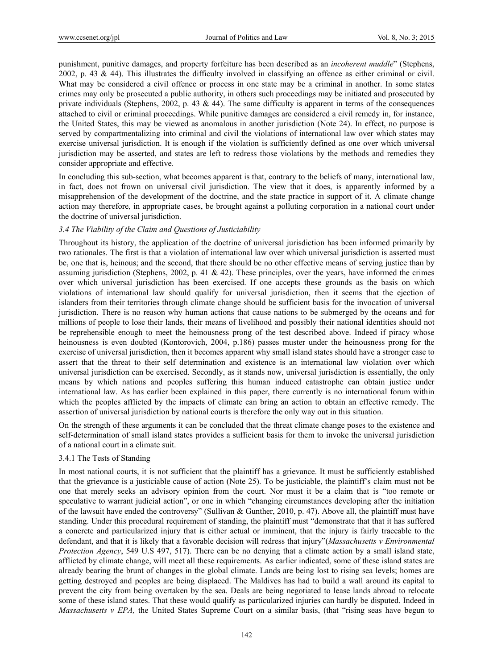punishment, punitive damages, and property forfeiture has been described as an *incoherent muddle*" (Stephens, 2002, p. 43  $\&$  44). This illustrates the difficulty involved in classifying an offence as either criminal or civil. What may be considered a civil offence or process in one state may be a criminal in another. In some states crimes may only be prosecuted a public authority, in others such proceedings may be initiated and prosecuted by private individuals (Stephens, 2002, p. 43  $\&$  44). The same difficulty is apparent in terms of the consequences attached to civil or criminal proceedings. While punitive damages are considered a civil remedy in, for instance, the United States, this may be viewed as anomalous in another jurisdiction (Note 24). In effect, no purpose is served by compartmentalizing into criminal and civil the violations of international law over which states may exercise universal jurisdiction. It is enough if the violation is sufficiently defined as one over which universal jurisdiction may be asserted, and states are left to redress those violations by the methods and remedies they consider appropriate and effective.

In concluding this sub-section, what becomes apparent is that, contrary to the beliefs of many, international law, in fact, does not frown on universal civil jurisdiction. The view that it does, is apparently informed by a misapprehension of the development of the doctrine, and the state practice in support of it. A climate change action may therefore, in appropriate cases, be brought against a polluting corporation in a national court under the doctrine of universal jurisdiction.

#### *3.4 The Viability of the Claim and Questions of Justiciability*

Throughout its history, the application of the doctrine of universal jurisdiction has been informed primarily by two rationales. The first is that a violation of international law over which universal jurisdiction is asserted must be, one that is, heinous; and the second, that there should be no other effective means of serving justice than by assuming jurisdiction (Stephens, 2002, p. 41 & 42). These principles, over the years, have informed the crimes over which universal jurisdiction has been exercised. If one accepts these grounds as the basis on which violations of international law should qualify for universal jurisdiction, then it seems that the ejection of islanders from their territories through climate change should be sufficient basis for the invocation of universal jurisdiction. There is no reason why human actions that cause nations to be submerged by the oceans and for millions of people to lose their lands, their means of livelihood and possibly their national identities should not be reprehensible enough to meet the heinousness prong of the test described above. Indeed if piracy whose heinousness is even doubted (Kontorovich, 2004, p.186) passes muster under the heinousness prong for the exercise of universal jurisdiction, then it becomes apparent why small island states should have a stronger case to assert that the threat to their self determination and existence is an international law violation over which universal jurisdiction can be exercised. Secondly, as it stands now, universal jurisdiction is essentially, the only means by which nations and peoples suffering this human induced catastrophe can obtain justice under international law. As has earlier been explained in this paper, there currently is no international forum within which the peoples afflicted by the impacts of climate can bring an action to obtain an effective remedy. The assertion of universal jurisdiction by national courts is therefore the only way out in this situation.

On the strength of these arguments it can be concluded that the threat climate change poses to the existence and self-determination of small island states provides a sufficient basis for them to invoke the universal jurisdiction of a national court in a climate suit.

#### 3.4.1 The Tests of Standing

In most national courts, it is not sufficient that the plaintiff has a grievance. It must be sufficiently established that the grievance is a justiciable cause of action (Note 25). To be justiciable, the plaintiff's claim must not be one that merely seeks an advisory opinion from the court. Nor must it be a claim that is "too remote or speculative to warrant judicial action", or one in which "changing circumstances developing after the initiation of the lawsuit have ended the controversy" (Sullivan & Gunther, 2010, p. 47). Above all, the plaintiff must have standing. Under this procedural requirement of standing, the plaintiff must "demonstrate that that it has suffered a concrete and particularized injury that is either actual or imminent, that the injury is fairly traceable to the defendant, and that it is likely that a favorable decision will redress that injury"(*Massachusetts v Environmental Protection Agency*, 549 U.S 497, 517). There can be no denying that a climate action by a small island state, afflicted by climate change, will meet all these requirements. As earlier indicated, some of these island states are already bearing the brunt of changes in the global climate. Lands are being lost to rising sea levels; homes are getting destroyed and peoples are being displaced. The Maldives has had to build a wall around its capital to prevent the city from being overtaken by the sea. Deals are being negotiated to lease lands abroad to relocate some of these island states. That these would qualify as particularized injuries can hardly be disputed. Indeed in *Massachusetts v EPA*, the United States Supreme Court on a similar basis, (that "rising seas have begun to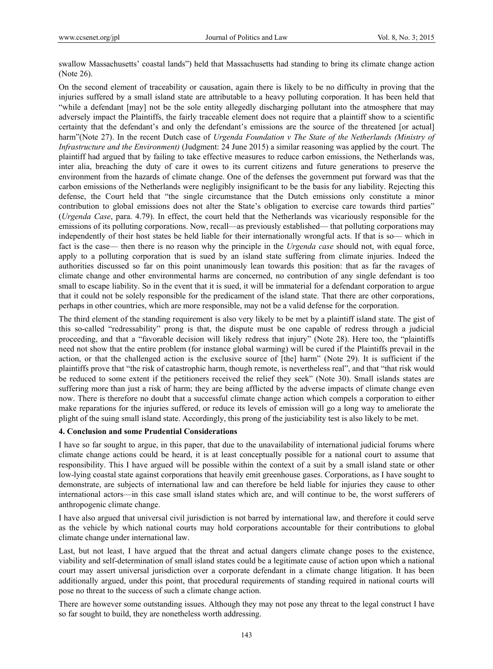swallow Massachusetts' coastal lands") held that Massachusetts had standing to bring its climate change action (Note 26).

On the second element of traceability or causation, again there is likely to be no difficulty in proving that the injuries suffered by a small island state are attributable to a heavy polluting corporation. It has been held that "while a defendant [may] not be the sole entity allegedly discharging pollutant into the atmosphere that may adversely impact the Plaintiffs, the fairly traceable element does not require that a plaintiff show to a scientific certainty that the defendant's and only the defendant's emissions are the source of the threatened [or actual] harm"(Note 27). In the recent Dutch case of *Urgenda Foundation v The State of the Netherlands (Ministry of Infrastructure and the Environment)* (Judgment: 24 June 2015) a similar reasoning was applied by the court. The plaintiff had argued that by failing to take effective measures to reduce carbon emissions, the Netherlands was, inter alia, breaching the duty of care it owes to its current citizens and future generations to preserve the environment from the hazards of climate change. One of the defenses the government put forward was that the carbon emissions of the Netherlands were negligibly insignificant to be the basis for any liability. Rejecting this defense, the Court held that "the single circumstance that the Dutch emissions only constitute a minor contribution to global emissions does not alter the State's obligation to exercise care towards third parties" (*Urgenda Case*, para. 4.79). In effect, the court held that the Netherlands was vicariously responsible for the emissions of its polluting corporations. Now, recall—as previously established— that polluting corporations may independently of their host states be held liable for their internationally wrongful acts. If that is so— which in fact is the case— then there is no reason why the principle in the *Urgenda case* should not, with equal force, apply to a polluting corporation that is sued by an island state suffering from climate injuries. Indeed the authorities discussed so far on this point unanimously lean towards this position: that as far the ravages of climate change and other environmental harms are concerned, no contribution of any single defendant is too small to escape liability. So in the event that it is sued, it will be immaterial for a defendant corporation to argue that it could not be solely responsible for the predicament of the island state. That there are other corporations, perhaps in other countries, which are more responsible, may not be a valid defense for the corporation.

The third element of the standing requirement is also very likely to be met by a plaintiff island state. The gist of this so-called "redressability" prong is that, the dispute must be one capable of redress through a judicial proceeding, and that a "favorable decision will likely redress that injury" (Note 28). Here too, the "plaintiffs need not show that the entire problem (for instance global warming) will be cured if the Plaintiffs prevail in the action, or that the challenged action is the exclusive source of [the] harm" (Note 29). It is sufficient if the plaintiffs prove that "the risk of catastrophic harm, though remote, is nevertheless real", and that "that risk would be reduced to some extent if the petitioners received the relief they seek" (Note 30). Small islands states are suffering more than just a risk of harm; they are being afflicted by the adverse impacts of climate change even now. There is therefore no doubt that a successful climate change action which compels a corporation to either make reparations for the injuries suffered, or reduce its levels of emission will go a long way to ameliorate the plight of the suing small island state. Accordingly, this prong of the justiciability test is also likely to be met.

#### **4. Conclusion and some Prudential Considerations**

I have so far sought to argue, in this paper, that due to the unavailability of international judicial forums where climate change actions could be heard, it is at least conceptually possible for a national court to assume that responsibility. This I have argued will be possible within the context of a suit by a small island state or other low-lying coastal state against corporations that heavily emit greenhouse gases. Corporations, as I have sought to demonstrate, are subjects of international law and can therefore be held liable for injuries they cause to other international actors—in this case small island states which are, and will continue to be, the worst sufferers of anthropogenic climate change.

I have also argued that universal civil jurisdiction is not barred by international law, and therefore it could serve as the vehicle by which national courts may hold corporations accountable for their contributions to global climate change under international law.

Last, but not least, I have argued that the threat and actual dangers climate change poses to the existence, viability and self-determination of small island states could be a legitimate cause of action upon which a national court may assert universal jurisdiction over a corporate defendant in a climate change litigation. It has been additionally argued, under this point, that procedural requirements of standing required in national courts will pose no threat to the success of such a climate change action.

There are however some outstanding issues. Although they may not pose any threat to the legal construct I have so far sought to build, they are nonetheless worth addressing.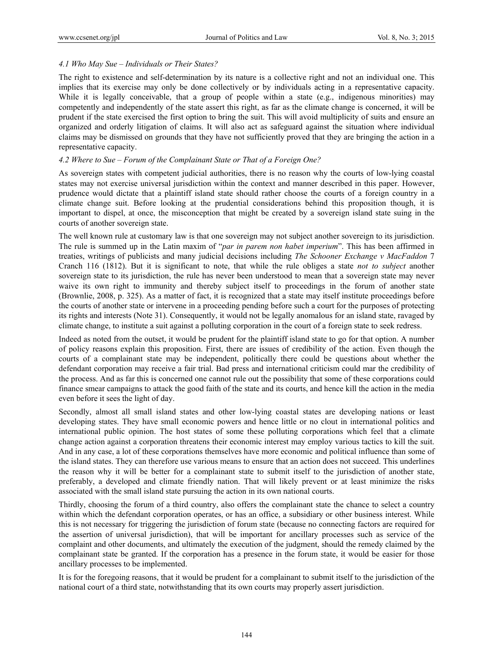# *4.1 Who May Sue – Individuals or Their States?*

The right to existence and self-determination by its nature is a collective right and not an individual one. This implies that its exercise may only be done collectively or by individuals acting in a representative capacity. While it is legally conceivable, that a group of people within a state (e.g., indigenous minorities) may competently and independently of the state assert this right, as far as the climate change is concerned, it will be prudent if the state exercised the first option to bring the suit. This will avoid multiplicity of suits and ensure an organized and orderly litigation of claims. It will also act as safeguard against the situation where individual claims may be dismissed on grounds that they have not sufficiently proved that they are bringing the action in a representative capacity.

# *4.2 Where to Sue – Forum of the Complainant State or That of a Foreign One?*

As sovereign states with competent judicial authorities, there is no reason why the courts of low-lying coastal states may not exercise universal jurisdiction within the context and manner described in this paper. However, prudence would dictate that a plaintiff island state should rather choose the courts of a foreign country in a climate change suit. Before looking at the prudential considerations behind this proposition though, it is important to dispel, at once, the misconception that might be created by a sovereign island state suing in the courts of another sovereign state.

The well known rule at customary law is that one sovereign may not subject another sovereign to its jurisdiction. The rule is summed up in the Latin maxim of "*par in parem non habet imperium*". This has been affirmed in treaties, writings of publicists and many judicial decisions including *The Schooner Exchange v MacFaddon* 7 Cranch 116 (1812). But it is significant to note, that while the rule obliges a state *not to subject* another sovereign state to its jurisdiction, the rule has never been understood to mean that a sovereign state may never waive its own right to immunity and thereby subject itself to proceedings in the forum of another state (Brownlie, 2008, p. 325). As a matter of fact, it is recognized that a state may itself institute proceedings before the courts of another state or intervene in a proceeding pending before such a court for the purposes of protecting its rights and interests (Note 31). Consequently, it would not be legally anomalous for an island state, ravaged by climate change, to institute a suit against a polluting corporation in the court of a foreign state to seek redress.

Indeed as noted from the outset, it would be prudent for the plaintiff island state to go for that option. A number of policy reasons explain this proposition. First, there are issues of credibility of the action. Even though the courts of a complainant state may be independent, politically there could be questions about whether the defendant corporation may receive a fair trial. Bad press and international criticism could mar the credibility of the process. And as far this is concerned one cannot rule out the possibility that some of these corporations could finance smear campaigns to attack the good faith of the state and its courts, and hence kill the action in the media even before it sees the light of day.

Secondly, almost all small island states and other low-lying coastal states are developing nations or least developing states. They have small economic powers and hence little or no clout in international politics and international public opinion. The host states of some these polluting corporations which feel that a climate change action against a corporation threatens their economic interest may employ various tactics to kill the suit. And in any case, a lot of these corporations themselves have more economic and political influence than some of the island states. They can therefore use various means to ensure that an action does not succeed. This underlines the reason why it will be better for a complainant state to submit itself to the jurisdiction of another state, preferably, a developed and climate friendly nation. That will likely prevent or at least minimize the risks associated with the small island state pursuing the action in its own national courts.

Thirdly, choosing the forum of a third country, also offers the complainant state the chance to select a country within which the defendant corporation operates, or has an office, a subsidiary or other business interest. While this is not necessary for triggering the jurisdiction of forum state (because no connecting factors are required for the assertion of universal jurisdiction), that will be important for ancillary processes such as service of the complaint and other documents, and ultimately the execution of the judgment, should the remedy claimed by the complainant state be granted. If the corporation has a presence in the forum state, it would be easier for those ancillary processes to be implemented.

It is for the foregoing reasons, that it would be prudent for a complainant to submit itself to the jurisdiction of the national court of a third state, notwithstanding that its own courts may properly assert jurisdiction.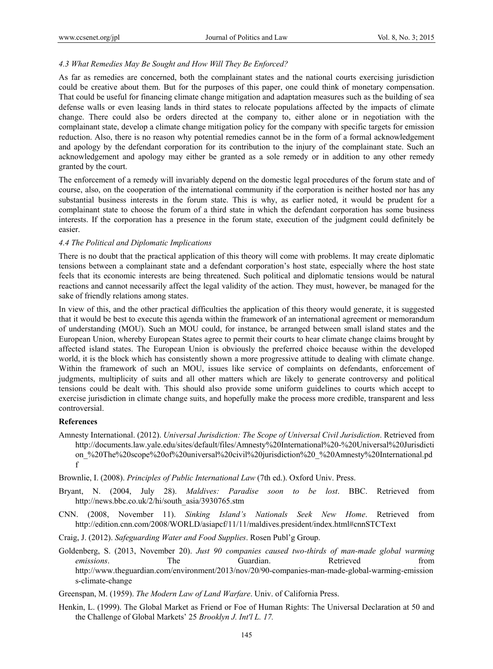## *4.3 What Remedies May Be Sought and How Will They Be Enforced?*

As far as remedies are concerned, both the complainant states and the national courts exercising jurisdiction could be creative about them. But for the purposes of this paper, one could think of monetary compensation. That could be useful for financing climate change mitigation and adaptation measures such as the building of sea defense walls or even leasing lands in third states to relocate populations affected by the impacts of climate change. There could also be orders directed at the company to, either alone or in negotiation with the complainant state, develop a climate change mitigation policy for the company with specific targets for emission reduction. Also, there is no reason why potential remedies cannot be in the form of a formal acknowledgement and apology by the defendant corporation for its contribution to the injury of the complainant state. Such an acknowledgement and apology may either be granted as a sole remedy or in addition to any other remedy granted by the court.

The enforcement of a remedy will invariably depend on the domestic legal procedures of the forum state and of course, also, on the cooperation of the international community if the corporation is neither hosted nor has any substantial business interests in the forum state. This is why, as earlier noted, it would be prudent for a complainant state to choose the forum of a third state in which the defendant corporation has some business interests. If the corporation has a presence in the forum state, execution of the judgment could definitely be easier.

#### *4.4 The Political and Diplomatic Implications*

There is no doubt that the practical application of this theory will come with problems. It may create diplomatic tensions between a complainant state and a defendant corporation's host state, especially where the host state feels that its economic interests are being threatened. Such political and diplomatic tensions would be natural reactions and cannot necessarily affect the legal validity of the action. They must, however, be managed for the sake of friendly relations among states.

In view of this, and the other practical difficulties the application of this theory would generate, it is suggested that it would be best to execute this agenda within the framework of an international agreement or memorandum of understanding (MOU). Such an MOU could, for instance, be arranged between small island states and the European Union, whereby European States agree to permit their courts to hear climate change claims brought by affected island states. The European Union is obviously the preferred choice because within the developed world, it is the block which has consistently shown a more progressive attitude to dealing with climate change. Within the framework of such an MOU, issues like service of complaints on defendants, enforcement of judgments, multiplicity of suits and all other matters which are likely to generate controversy and political tensions could be dealt with. This should also provide some uniform guidelines to courts which accept to exercise jurisdiction in climate change suits, and hopefully make the process more credible, transparent and less controversial.

## **References**

- Amnesty International. (2012). *Universal Jurisdiction: The Scope of Universal Civil Jurisdiction*. Retrieved from http://documents.law.yale.edu/sites/default/files/Amnesty%20International%20-%20Universal%20Jurisdicti on\_%20The%20scope%20of%20universal%20civil%20jurisdiction%20\_%20Amnesty%20International.pd f
- Brownlie, I. (2008). *Principles of Public International Law* (7th ed.). Oxford Univ. Press.
- Bryant, N. (2004, July 28). *Maldives: Paradise soon to be lost*. BBC. Retrieved from http://news.bbc.co.uk/2/hi/south\_asia/3930765.stm
- CNN. (2008, November 11). *Sinking Island's Nationals Seek New Home*. Retrieved from http://edition.cnn.com/2008/WORLD/asiapcf/11/11/maldives.president/index.html#cnnSTCText
- Craig, J. (2012). *Safeguarding Water and Food Supplies*. Rosen Publ'g Group.
- Goldenberg, S. (2013, November 20). *Just 90 companies caused two-thirds of man-made global warming emissions*. The Guardian. Retrieved from http://www.theguardian.com/environment/2013/nov/20/90-companies-man-made-global-warming-emission s-climate-change
- Greenspan, M. (1959). *The Modern Law of Land Warfare*. Univ. of California Press.
- Henkin, L. (1999). The Global Market as Friend or Foe of Human Rights: The Universal Declaration at 50 and the Challenge of Global Markets' 25 *Brooklyn J. Int'l L. 17.*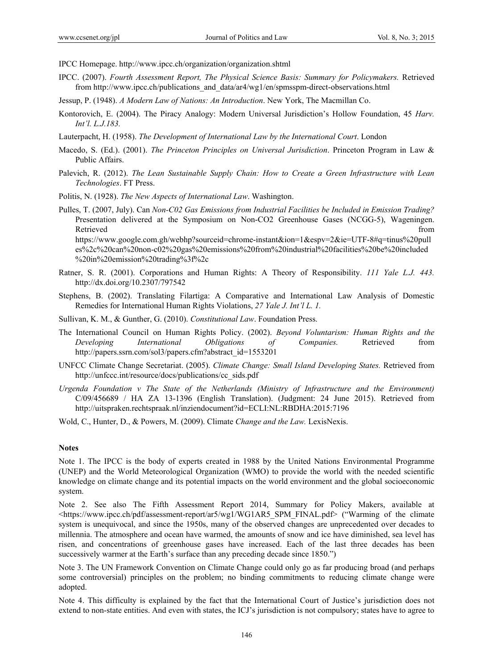IPCC Homepage. http://www.ipcc.ch/organization/organization.shtml

- IPCC. (2007). *Fourth Assessment Report, The Physical Science Basis: Summary for Policymakers.* Retrieved from http://www.ipcc.ch/publications\_and\_data/ar4/wg1/en/spmsspm-direct-observations.html
- Jessup, P. (1948). *A Modern Law of Nations: An Introduction*. New York, The Macmillan Co.
- Kontorovich, E. (2004). The Piracy Analogy: Modern Universal Jurisdiction's Hollow Foundation, 45 *Harv. Int'l. L.J.183.*
- Lauterpacht, H. (1958). *The Development of International Law by the International Court*. London
- Macedo, S. (Ed.). (2001). *The Princeton Principles on Universal Jurisdiction*. Princeton Program in Law & Public Affairs.
- Palevich, R. (2012). *The Lean Sustainable Supply Chain: How to Create a Green Infrastructure with Lean Technologies*. FT Press.
- Politis, N. (1928). *The New Aspects of International Law*. Washington.
- Pulles, T. (2007, July). Can *Non-C02 Gas Emissions from Industrial Facilities be Included in Emission Trading?* Presentation delivered at the Symposium on Non-CO2 Greenhouse Gases (NCGG-5), Wageningen. Retrieved that the contract of the contract of the contract of the contract of the contract of the contract of the contract of the contract of the contract of the contract of the contract of the contract of the contract of https://www.google.com.gh/webhp?sourceid=chrome-instant&ion=1&espv=2&ie=UTF-8#q=tinus%20pull es%2c%20can%20non-c02%20gas%20emissions%20from%20industrial%20facilities%20be%20included %20in%20emission%20trading%3f%2c
- Ratner, S. R. (2001). Corporations and Human Rights: A Theory of Responsibility. *111 Yale L.J. 443.* http://dx.doi.org/10.2307/797542
- Stephens, B. (2002). Translating Filartiga: A Comparative and International Law Analysis of Domestic Remedies for International Human Rights Violations, *27 Yale J. Int'l L. 1.*
- Sullivan, K. M., & Gunther, G. (2010). *Constitutional Law*. Foundation Press.
- The International Council on Human Rights Policy. (2002). *Beyond Voluntarism: Human Rights and the Developing International Obligations of Companies.* Retrieved from http://papers.ssrn.com/sol3/papers.cfm?abstract\_id=1553201
- UNFCC Climate Change Secretariat. (2005). *Climate Change: Small Island Developing States.* Retrieved from http://unfccc.int/resource/docs/publications/cc\_sids.pdf
- *Urgenda Foundation v The State of the Netherlands (Ministry of Infrastructure and the Environment)* C/09/456689 / HA ZA 13-1396 (English Translation). (Judgment: 24 June 2015). Retrieved from http://uitspraken.rechtspraak.nl/inziendocument?id=ECLI:NL:RBDHA:2015:7196
- Wold, C., Hunter, D., & Powers, M. (2009). Climate *Change and the Law.* LexisNexis.

## **Notes**

Note 1. The IPCC is the body of experts created in 1988 by the United Nations Environmental Programme (UNEP) and the World Meteorological Organization (WMO) to provide the world with the needed scientific knowledge on climate change and its potential impacts on the world environment and the global socioeconomic system.

Note 2. See also The Fifth Assessment Report 2014, Summary for Policy Makers, available at <https://www.ipcc.ch/pdf/assessment-report/ar5/wg1/WG1AR5\_SPM\_FINAL.pdf> ("Warming of the climate system is unequivocal, and since the 1950s, many of the observed changes are unprecedented over decades to millennia. The atmosphere and ocean have warmed, the amounts of snow and ice have diminished, sea level has risen, and concentrations of greenhouse gases have increased. Each of the last three decades has been successively warmer at the Earth's surface than any preceding decade since 1850.")

Note 3. The UN Framework Convention on Climate Change could only go as far producing broad (and perhaps some controversial) principles on the problem; no binding commitments to reducing climate change were adopted.

Note 4. This difficulty is explained by the fact that the International Court of Justice's jurisdiction does not extend to non-state entities. And even with states, the ICJ's jurisdiction is not compulsory; states have to agree to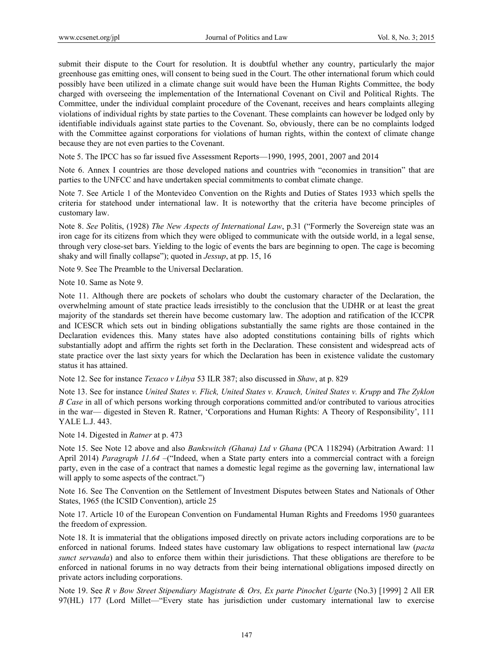submit their dispute to the Court for resolution. It is doubtful whether any country, particularly the major greenhouse gas emitting ones, will consent to being sued in the Court. The other international forum which could possibly have been utilized in a climate change suit would have been the Human Rights Committee, the body charged with overseeing the implementation of the International Covenant on Civil and Political Rights. The Committee, under the individual complaint procedure of the Covenant, receives and hears complaints alleging violations of individual rights by state parties to the Covenant. These complaints can however be lodged only by identifiable individuals against state parties to the Covenant. So, obviously, there can be no complaints lodged with the Committee against corporations for violations of human rights, within the context of climate change because they are not even parties to the Covenant.

Note 5. The IPCC has so far issued five Assessment Reports—1990, 1995, 2001, 2007 and 2014

Note 6. Annex I countries are those developed nations and countries with "economies in transition" that are parties to the UNFCC and have undertaken special commitments to combat climate change.

Note 7. See Article 1 of the Montevideo Convention on the Rights and Duties of States 1933 which spells the criteria for statehood under international law. It is noteworthy that the criteria have become principles of customary law.

Note 8. *See* Politis, (1928) *The New Aspects of International Law*, p.31 ("Formerly the Sovereign state was an iron cage for its citizens from which they were obliged to communicate with the outside world, in a legal sense, through very close-set bars. Yielding to the logic of events the bars are beginning to open. The cage is becoming shaky and will finally collapse"); quoted in *Jessup*, at pp. 15, 16

Note 9. See The Preamble to the Universal Declaration.

Note 10. Same as Note 9.

Note 11. Although there are pockets of scholars who doubt the customary character of the Declaration, the overwhelming amount of state practice leads irresistibly to the conclusion that the UDHR or at least the great majority of the standards set therein have become customary law. The adoption and ratification of the ICCPR and ICESCR which sets out in binding obligations substantially the same rights are those contained in the Declaration evidences this. Many states have also adopted constitutions containing bills of rights which substantially adopt and affirm the rights set forth in the Declaration. These consistent and widespread acts of state practice over the last sixty years for which the Declaration has been in existence validate the customary status it has attained.

Note 12. See for instance *Texaco v Libya* 53 ILR 387; also discussed in *Shaw*, at p. 829

Note 13. See for instance *United States v. Flick, United States v. Krauch, United States v. Krupp* and *The Zyklon B Case* in all of which persons working through corporations committed and/or contributed to various atrocities in the war— digested in Steven R. Ratner, 'Corporations and Human Rights: A Theory of Responsibility', 111 YALE L.J. 443.

Note 14. Digested in *Ratner* at p. 473

Note 15. See Note 12 above and also *Bankswitch (Ghana) Ltd v Ghana* (PCA 118294) (Arbitration Award: 11 April 2014) *Paragraph 11.64* –("Indeed, when a State party enters into a commercial contract with a foreign party, even in the case of a contract that names a domestic legal regime as the governing law, international law will apply to some aspects of the contract.")

Note 16. See The Convention on the Settlement of Investment Disputes between States and Nationals of Other States, 1965 (the ICSID Convention), article 25

Note 17. Article 10 of the European Convention on Fundamental Human Rights and Freedoms 1950 guarantees the freedom of expression.

Note 18. It is immaterial that the obligations imposed directly on private actors including corporations are to be enforced in national forums. Indeed states have customary law obligations to respect international law (*pacta sunct servanda*) and also to enforce them within their jurisdictions. That these obligations are therefore to be enforced in national forums in no way detracts from their being international obligations imposed directly on private actors including corporations.

Note 19. See *R v Bow Street Stipendiary Magistrate & Ors, Ex parte Pinochet Ugarte* (No.3) [1999] 2 All ER 97(HL) 177 (Lord Millet—"Every state has jurisdiction under customary international law to exercise